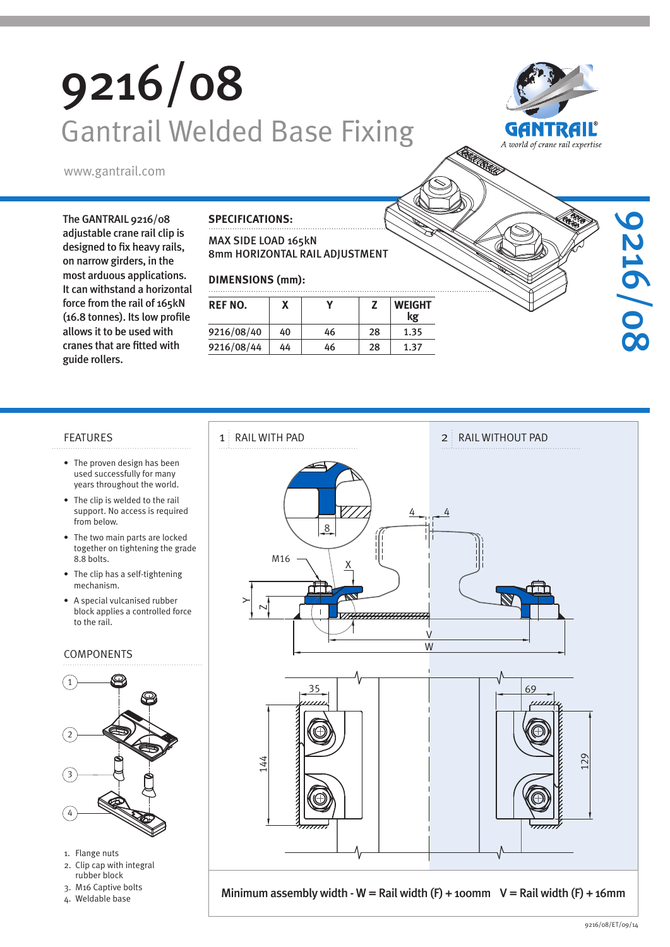# 9216/08 Gantrail Welded Base Fixing



9216/08

www.gantrail.com

The GANTRAIL 9216/08 adjustable crane rail clip is designed to fix heavy rails, on narrow girders, in the most arduous applications. It can withstand a horizontal force from the rail of 165kN (16.8 tonnes). Its low profile allows it to be used with cranes that are fitted with guide rollers.

#### **SPECIFICATIONS:**

#### MAX SIDE LOAD 165kN 8mm HORIZONTAL RAIL ADJUSTMENT

### **DIMENSIONS (mm):**

| REF NO.    |    |    |    | <b>WEIGHT</b><br>kg |
|------------|----|----|----|---------------------|
| 9216/08/40 | 40 | 46 | 28 | 1.35                |
| 9216/08/44 | 44 | 46 | 28 | 1.37                |

- The proven design has been used successfully for many years throughout the world.
- The clip is welded to the rail support. No access is required from below.
- The two main parts are locked together on tightening the grade 8.8 bolts.
- The clip has a self-tightening mechanism.
- A special vulcanised rubber block applies a controlled force to the rail.

#### COMPONENTS



- 1. Flange nuts
- 2. Clip cap with integral rubber block
- 3. M16 Captive bolts
- 4. Weldable base



Minimum assembly width - W = Rail width  $(F)$  + 100mm V = Rail width  $(F)$  + 16mm